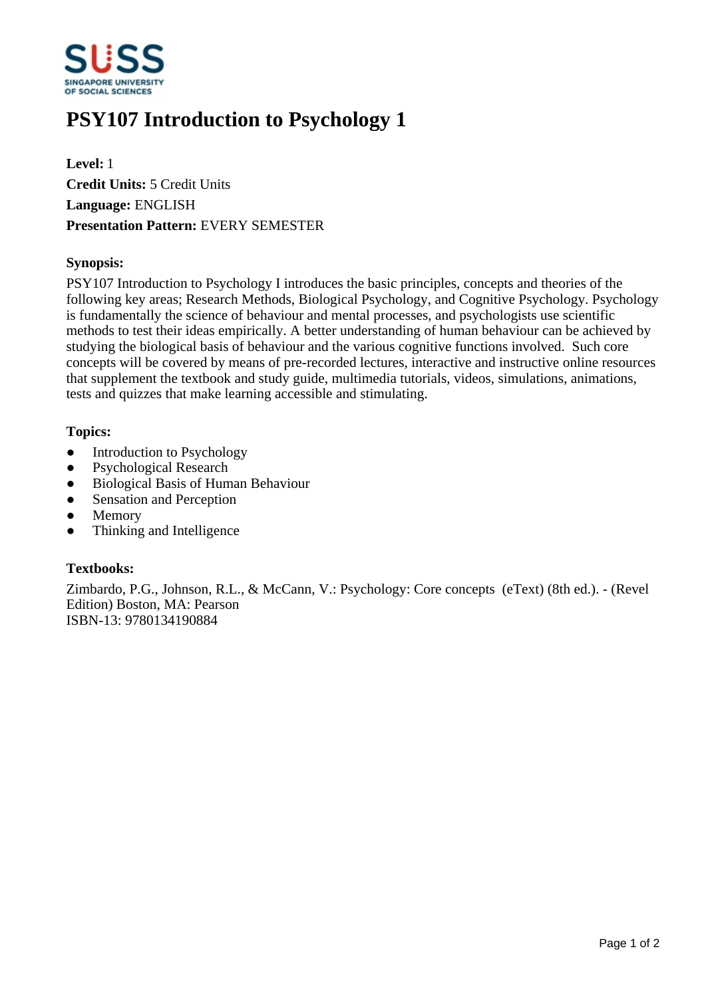

# **PSY107 Introduction to Psychology 1**

**Level:** 1 **Credit Units:** 5 Credit Units **Language:** ENGLISH **Presentation Pattern:** EVERY SEMESTER

### **Synopsis:**

PSY107 Introduction to Psychology I introduces the basic principles, concepts and theories of the following key areas; Research Methods, Biological Psychology, and Cognitive Psychology. Psychology is fundamentally the science of behaviour and mental processes, and psychologists use scientific methods to test their ideas empirically. A better understanding of human behaviour can be achieved by studying the biological basis of behaviour and the various cognitive functions involved. Such core concepts will be covered by means of pre-recorded lectures, interactive and instructive online resources that supplement the textbook and study guide, multimedia tutorials, videos, simulations, animations, tests and quizzes that make learning accessible and stimulating.

### **Topics:**

- Introduction to Psychology
- Psychological Research
- ƔBiological Basis of Human Behaviour
- Sensation and Perception
- Memory
- ƔThinking and Intelligence

# **Textbooks:**

Zimbardo, P.G., Johnson, R.L., & McCann, V.: Psychology: Core concepts (eText) (8th ed.). - (Revel Edition) Boston, MA: Pearson ISBN-13: 9780134190884